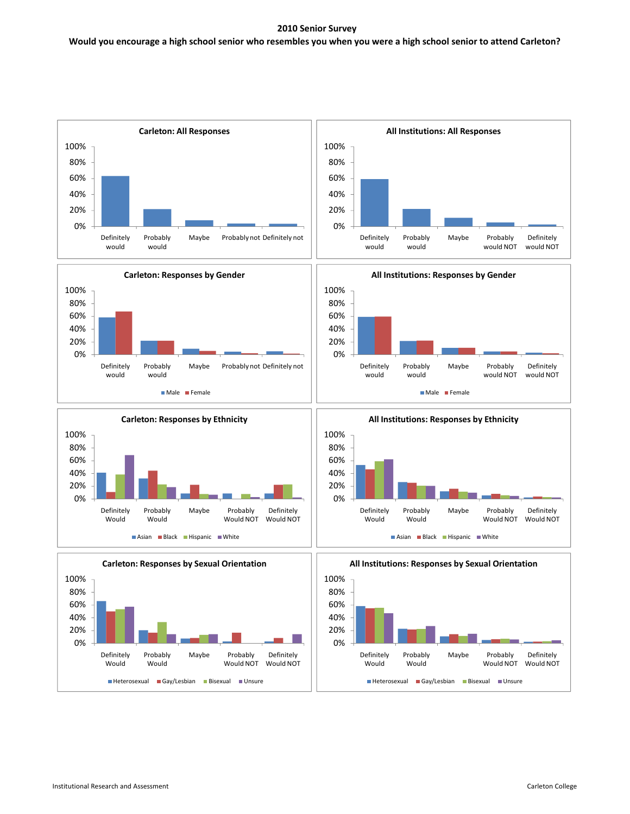## **2010 Senior Survey**

# Would you encourage a high school senior who resembles you when you were a high school senior to attend Carleton?